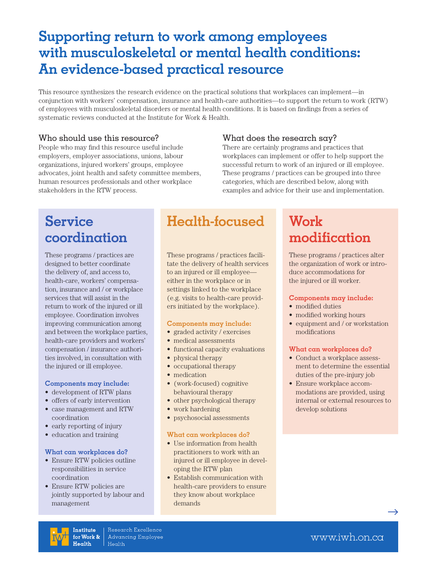## **Supporting return to work among employees with musculoskeletal or mental health conditions: An evidence-based practical resource**

This resource synthesizes the research evidence on the practical solutions that workplaces can implement—in conjunction with workers' compensation, insurance and health-care authorities—to support the return to work (RTW) of employees with musculoskeletal disorders or mental health conditions. It is based on findings from a series of systematic reviews conducted at the Institute for Work & Health.

### Who should use this resource?

People who may find this resource useful include employers, employer associations, unions, labour organizations, injured workers' groups, employee advocates, joint health and safety committee members, human resources professionals and other workplace stakeholders in the RTW process.

### What does the research say?

There are certainly programs and practices that workplaces can implement or offer to help support the successful return to work of an injured or ill employee. These programs / practices can be grouped into three categories, which are described below, along with examples and advice for their use and implementation.

## **Service coordination**

These programs / practices are designed to better coordinate the delivery of, and access to, health-care, workers' compensation, insurance and / or workplace services that will assist in the return to work of the injured or ill employee. Coordination involves improving communication among and between the workplace parties, health-care providers and workers' compensation / insurance authorities involved, in consultation with the injured or ill employee.

#### **Components may include:**

- development of RTW plans
- • offers of early intervention
- • case management and RTW coordination
- early reporting of injury
- education and training

#### **What can workplaces do?**

- Ensure RTW policies outline responsibilities in service coordination
- Ensure RTW policies are jointly supported by labour and management

## **Health-focused**

These programs / practices facilitate the delivery of health services to an injured or ill employee either in the workplace or in settings linked to the workplace (e.g. visits to health-care providers initiated by the workplace).

#### **Components may include:**

- graded activity / exercises
- medical assessments
- functional capacity evaluations
- physical therapy
- occupational therapy
- medication
- (work-focused) cognitive behavioural therapy
- other psychological therapy
- work hardening
- psychosocial assessments

#### **What can workplaces do?**

- Use information from health practitioners to work with an injured or ill employee in developing the RTW plan
- Establish communication with health-care providers to ensure they know about workplace demands

# **Work modification**

These programs / practices alter the organization of work or introduce accommodations for the injured or ill worker.

#### **Components may include:**

- modified duties
- modified working hours
- equipment and / or workstation modifications

#### **What can workplaces do?**

- Conduct a workplace assessment to determine the essential duties of the pre-injury job
- Ensure workplace accommodations are provided, using internal or external resources to develop solutions



 $\rightarrow$